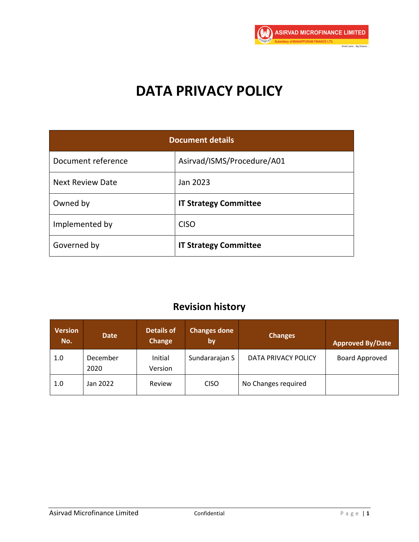

# **DATA PRIVACY POLICY**

| <b>Document details</b> |                              |  |  |
|-------------------------|------------------------------|--|--|
| Document reference      | Asirvad/ISMS/Procedure/A01   |  |  |
| <b>Next Review Date</b> | Jan 2023                     |  |  |
| Owned by                | <b>IT Strategy Committee</b> |  |  |
| Implemented by          | <b>CISO</b>                  |  |  |
| Governed by             | <b>IT Strategy Committee</b> |  |  |

# **Revision history**

| <b>Version</b><br>No. | <b>Date</b>      | <b>Details of</b><br><b>Change</b> | <b>Changes done</b><br><b>by</b> | <b>Changes</b>      | <b>Approved By/Date</b> |
|-----------------------|------------------|------------------------------------|----------------------------------|---------------------|-------------------------|
| 1.0                   | December<br>2020 | Initial<br>Version                 | Sundararajan S                   | DATA PRIVACY POLICY | <b>Board Approved</b>   |
| 1.0                   | Jan 2022         | Review                             | <b>CISO</b>                      | No Changes required |                         |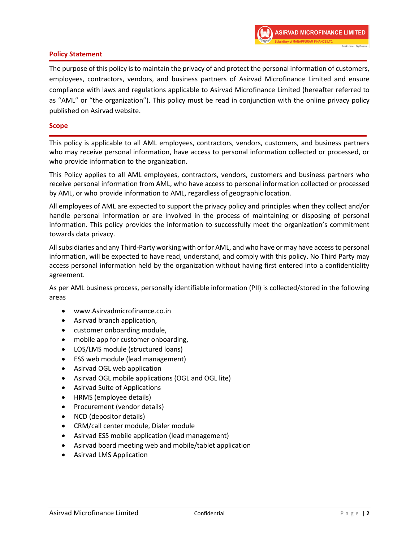

# **Policy Statement**

The purpose of this policy is to maintain the privacy of and protect the personal information of customers, employees, contractors, vendors, and business partners of Asirvad Microfinance Limited and ensure compliance with laws and regulations applicable to Asirvad Microfinance Limited (hereafter referred to as "AML" or "the organization"). This policy must be read in conjunction with the online privacy policy published on Asirvad website.

#### **Scope**

This policy is applicable to all AML employees, contractors, vendors, customers, and business partners who may receive personal information, have access to personal information collected or processed, or who provide information to the organization.

This Policy applies to all AML employees, contractors, vendors, customers and business partners who receive personal information from AML, who have access to personal information collected or processed by AML, or who provide information to AML, regardless of geographic location.

All employees of AML are expected to support the privacy policy and principles when they collect and/or handle personal information or are involved in the process of maintaining or disposing of personal information. This policy provides the information to successfully meet the organization's commitment towards data privacy.

All subsidiaries and any Third-Party working with or for AML, and who have or may have access to personal information, will be expected to have read, understand, and comply with this policy. No Third Party may access personal information held by the organization without having first entered into a confidentiality agreement.

As per AML business process, personally identifiable information (PII) is collected/stored in the following areas

- www.Asirvadmicrofinance.co.in
- Asirvad branch application,
- customer onboarding module,
- mobile app for customer onboarding,
- LOS/LMS module (structured loans)
- ESS web module (lead management)
- Asirvad OGL web application
- Asirvad OGL mobile applications (OGL and OGL lite)
- Asirvad Suite of Applications
- HRMS (employee details)
- Procurement (vendor details)
- NCD (depositor details)
- CRM/call center module, Dialer module
- Asirvad ESS mobile application (lead management)
- Asirvad board meeting web and mobile/tablet application
- Asirvad LMS Application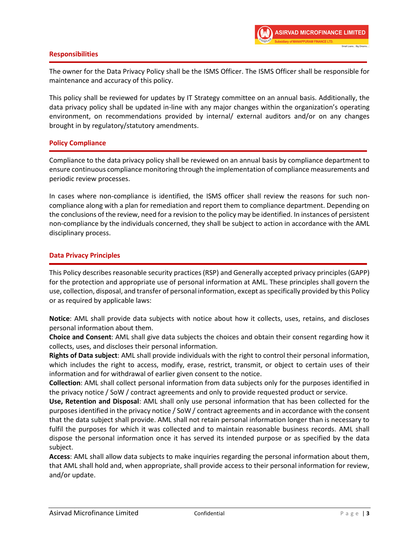

# **Responsibilities**

The owner for the Data Privacy Policy shall be the ISMS Officer. The ISMS Officer shall be responsible for maintenance and accuracy of this policy.

This policy shall be reviewed for updates by IT Strategy committee on an annual basis. Additionally, the data privacy policy shall be updated in-line with any major changes within the organization's operating environment, on recommendations provided by internal/ external auditors and/or on any changes brought in by regulatory/statutory amendments.

# **Policy Compliance**

Compliance to the data privacy policy shall be reviewed on an annual basis by compliance department to ensure continuous compliance monitoring through the implementation of compliance measurements and periodic review processes.

In cases where non-compliance is identified, the ISMS officer shall review the reasons for such noncompliance along with a plan for remediation and report them to compliance department. Depending on the conclusions of the review, need for a revision to the policy may be identified. In instances of persistent non-compliance by the individuals concerned, they shall be subject to action in accordance with the AML disciplinary process.

# **Data Privacy Principles**

This Policy describes reasonable security practices (RSP) and Generally accepted privacy principles (GAPP) for the protection and appropriate use of personal information at AML. These principles shall govern the use, collection, disposal, and transfer of personal information, except as specifically provided by this Policy or as required by applicable laws:

**Notice**: AML shall provide data subjects with notice about how it collects, uses, retains, and discloses personal information about them.

**Choice and Consent**: AML shall give data subjects the choices and obtain their consent regarding how it collects, uses, and discloses their personal information.

**Rights of Data subject**: AML shall provide individuals with the right to control their personal information, which includes the right to access, modify, erase, restrict, transmit, or object to certain uses of their information and for withdrawal of earlier given consent to the notice.

**Collection**: AML shall collect personal information from data subjects only for the purposes identified in the privacy notice / SoW / contract agreements and only to provide requested product or service.

**Use, Retention and Disposal**: AML shall only use personal information that has been collected for the purposes identified in the privacy notice / SoW / contract agreements and in accordance with the consent that the data subject shall provide. AML shall not retain personal information longer than is necessary to fulfil the purposes for which it was collected and to maintain reasonable business records. AML shall dispose the personal information once it has served its intended purpose or as specified by the data subject.

**Access**: AML shall allow data subjects to make inquiries regarding the personal information about them, that AML shall hold and, when appropriate, shall provide access to their personal information for review, and/or update.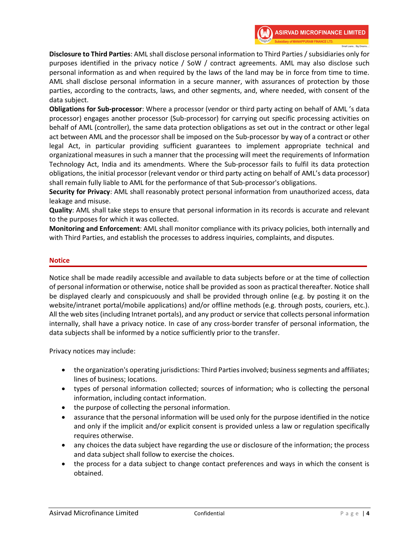**Disclosure to Third Parties**: AML shall disclose personal information to Third Parties / subsidiaries only for purposes identified in the privacy notice / SoW / contract agreements. AML may also disclose such personal information as and when required by the laws of the land may be in force from time to time. AML shall disclose personal information in a secure manner, with assurances of protection by those parties, according to the contracts, laws, and other segments, and, where needed, with consent of the data subject.

**Obligations for Sub-processor**: Where a processor (vendor or third party acting on behalf of AML 's data processor) engages another processor (Sub-processor) for carrying out specific processing activities on behalf of AML (controller), the same data protection obligations as set out in the contract or other legal act between AML and the processor shall be imposed on the Sub-processor by way of a contract or other legal Act, in particular providing sufficient guarantees to implement appropriate technical and organizational measures in such a manner that the processing will meet the requirements of Information Technology Act, India and its amendments. Where the Sub-processor fails to fulfil its data protection obligations, the initial processor (relevant vendor or third party acting on behalf of AML's data processor) shall remain fully liable to AML for the performance of that Sub-processor's obligations.

**Security for Privacy**: AML shall reasonably protect personal information from unauthorized access, data leakage and misuse.

**Quality**: AML shall take steps to ensure that personal information in its records is accurate and relevant to the purposes for which it was collected.

**Monitoring and Enforcement**: AML shall monitor compliance with its privacy policies, both internally and with Third Parties, and establish the processes to address inquiries, complaints, and disputes.

# **Notice**

Notice shall be made readily accessible and available to data subjects before or at the time of collection of personal information or otherwise, notice shall be provided as soon as practical thereafter. Notice shall be displayed clearly and conspicuously and shall be provided through online (e.g. by posting it on the website/intranet portal/mobile applications) and/or offline methods (e.g. through posts, couriers, etc.). All the web sites (including Intranet portals), and any product or service that collects personal information internally, shall have a privacy notice. In case of any cross-border transfer of personal information, the data subjects shall be informed by a notice sufficiently prior to the transfer.

Privacy notices may include:

- the organization's operating jurisdictions: Third Parties involved; business segments and affiliates; lines of business; locations.
- types of personal information collected; sources of information; who is collecting the personal information, including contact information.
- the purpose of collecting the personal information.
- assurance that the personal information will be used only for the purpose identified in the notice and only if the implicit and/or explicit consent is provided unless a law or regulation specifically requires otherwise.
- any choices the data subject have regarding the use or disclosure of the information; the process and data subject shall follow to exercise the choices.
- the process for a data subject to change contact preferences and ways in which the consent is obtained.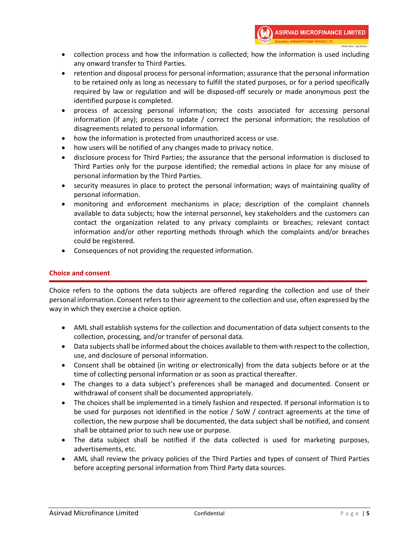- collection process and how the information is collected; how the information is used including any onward transfer to Third Parties.
- retention and disposal process for personal information; assurance that the personal information to be retained only as long as necessary to fulfill the stated purposes, or for a period specifically required by law or regulation and will be disposed-off securely or made anonymous post the identified purpose is completed.
- process of accessing personal information; the costs associated for accessing personal information (if any); process to update / correct the personal information; the resolution of disagreements related to personal information.
- how the information is protected from unauthorized access or use.
- how users will be notified of any changes made to privacy notice.
- disclosure process for Third Parties; the assurance that the personal information is disclosed to Third Parties only for the purpose identified; the remedial actions in place for any misuse of personal information by the Third Parties.
- security measures in place to protect the personal information; ways of maintaining quality of personal information.
- monitoring and enforcement mechanisms in place; description of the complaint channels available to data subjects; how the internal personnel, key stakeholders and the customers can contact the organization related to any privacy complaints or breaches; relevant contact information and/or other reporting methods through which the complaints and/or breaches could be registered.
- Consequences of not providing the requested information.

# **Choice and consent**

Choice refers to the options the data subjects are offered regarding the collection and use of their personal information. Consent refers to their agreement to the collection and use, often expressed by the way in which they exercise a choice option.

- AML shall establish systems for the collection and documentation of data subject consents to the collection, processing, and/or transfer of personal data.
- Data subjects shall be informed about the choices available to them with respect to the collection, use, and disclosure of personal information.
- Consent shall be obtained (in writing or electronically) from the data subjects before or at the time of collecting personal information or as soon as practical thereafter.
- The changes to a data subject's preferences shall be managed and documented. Consent or withdrawal of consent shall be documented appropriately.
- The choices shall be implemented in a timely fashion and respected. If personal information is to be used for purposes not identified in the notice / SoW / contract agreements at the time of collection, the new purpose shall be documented, the data subject shall be notified, and consent shall be obtained prior to such new use or purpose.
- The data subject shall be notified if the data collected is used for marketing purposes, advertisements, etc.
- AML shall review the privacy policies of the Third Parties and types of consent of Third Parties before accepting personal information from Third Party data sources.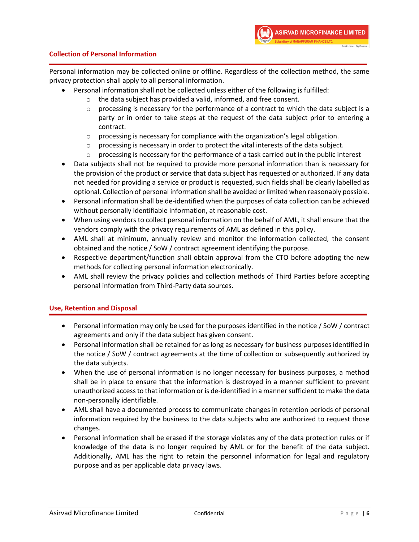# **Collection of Personal Information**

Personal information may be collected online or offline. Regardless of the collection method, the same privacy protection shall apply to all personal information.

- Personal information shall not be collected unless either of the following is fulfilled:
	- o the data subject has provided a valid, informed, and free consent.
	- $\circ$  processing is necessary for the performance of a contract to which the data subject is a party or in order to take steps at the request of the data subject prior to entering a contract.
	- $\circ$  processing is necessary for compliance with the organization's legal obligation.
	- $\circ$  processing is necessary in order to protect the vital interests of the data subject.
	- $\circ$  processing is necessary for the performance of a task carried out in the public interest
- Data subjects shall not be required to provide more personal information than is necessary for the provision of the product or service that data subject has requested or authorized. If any data not needed for providing a service or product is requested, such fields shall be clearly labelled as optional. Collection of personal information shall be avoided or limited when reasonably possible.
- Personal information shall be de-identified when the purposes of data collection can be achieved without personally identifiable information, at reasonable cost.
- When using vendors to collect personal information on the behalf of AML, it shall ensure that the vendors comply with the privacy requirements of AML as defined in this policy.
- AML shall at minimum, annually review and monitor the information collected, the consent obtained and the notice / SoW / contract agreement identifying the purpose.
- Respective department/function shall obtain approval from the CTO before adopting the new methods for collecting personal information electronically.
- AML shall review the privacy policies and collection methods of Third Parties before accepting personal information from Third-Party data sources.

# **Use, Retention and Disposal**

- Personal information may only be used for the purposes identified in the notice / SoW / contract agreements and only if the data subject has given consent.
- Personal information shall be retained for as long as necessary for business purposes identified in the notice / SoW / contract agreements at the time of collection or subsequently authorized by the data subjects.
- When the use of personal information is no longer necessary for business purposes, a method shall be in place to ensure that the information is destroyed in a manner sufficient to prevent unauthorized access to that information or is de-identified in a manner sufficient to make the data non-personally identifiable.
- AML shall have a documented process to communicate changes in retention periods of personal information required by the business to the data subjects who are authorized to request those changes.
- Personal information shall be erased if the storage violates any of the data protection rules or if knowledge of the data is no longer required by AML or for the benefit of the data subject. Additionally, AML has the right to retain the personnel information for legal and regulatory purpose and as per applicable data privacy laws.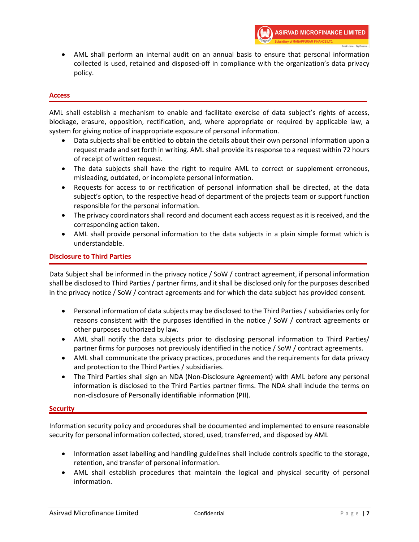• AML shall perform an internal audit on an annual basis to ensure that personal information collected is used, retained and disposed-off in compliance with the organization's data privacy policy.

#### **Access**

AML shall establish a mechanism to enable and facilitate exercise of data subject's rights of access, blockage, erasure, opposition, rectification, and, where appropriate or required by applicable law, a system for giving notice of inappropriate exposure of personal information.

- Data subjects shall be entitled to obtain the details about their own personal information upon a request made and set forth in writing. AML shall provide its response to a request within 72 hours of receipt of written request.
- The data subjects shall have the right to require AML to correct or supplement erroneous, misleading, outdated, or incomplete personal information.
- Requests for access to or rectification of personal information shall be directed, at the data subject's option, to the respective head of department of the projects team or support function responsible for the personal information.
- The privacy coordinators shall record and document each access request as it is received, and the corresponding action taken.
- AML shall provide personal information to the data subjects in a plain simple format which is understandable.

# **Disclosure to Third Parties**

Data Subject shall be informed in the privacy notice / SoW / contract agreement, if personal information shall be disclosed to Third Parties / partner firms, and it shall be disclosed only for the purposes described in the privacy notice / SoW / contract agreements and for which the data subject has provided consent.

- Personal information of data subjects may be disclosed to the Third Parties / subsidiaries only for reasons consistent with the purposes identified in the notice / SoW / contract agreements or other purposes authorized by law.
- AML shall notify the data subjects prior to disclosing personal information to Third Parties/ partner firms for purposes not previously identified in the notice / SoW / contract agreements.
- AML shall communicate the privacy practices, procedures and the requirements for data privacy and protection to the Third Parties / subsidiaries.
- The Third Parties shall sign an NDA (Non-Disclosure Agreement) with AML before any personal information is disclosed to the Third Parties partner firms. The NDA shall include the terms on non-disclosure of Personally identifiable information (PII).

# **Security**

Information security policy and procedures shall be documented and implemented to ensure reasonable security for personal information collected, stored, used, transferred, and disposed by AML

- Information asset labelling and handling guidelines shall include controls specific to the storage, retention, and transfer of personal information.
- AML shall establish procedures that maintain the logical and physical security of personal information.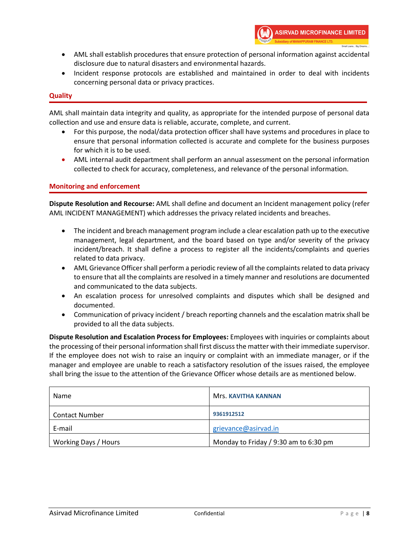- AML shall establish procedures that ensure protection of personal information against accidental disclosure due to natural disasters and environmental hazards.
- Incident response protocols are established and maintained in order to deal with incidents concerning personal data or privacy practices.

# **Quality**

AML shall maintain data integrity and quality, as appropriate for the intended purpose of personal data collection and use and ensure data is reliable, accurate, complete, and current.

- For this purpose, the nodal/data protection officer shall have systems and procedures in place to ensure that personal information collected is accurate and complete for the business purposes for which it is to be used.
- AML internal audit department shall perform an annual assessment on the personal information collected to check for accuracy, completeness, and relevance of the personal information.

# **Monitoring and enforcement**

**Dispute Resolution and Recourse:** AML shall define and document an Incident management policy (refer AML INCIDENT MANAGEMENT) which addresses the privacy related incidents and breaches.

- The incident and breach management program include a clear escalation path up to the executive management, legal department, and the board based on type and/or severity of the privacy incident/breach. It shall define a process to register all the incidents/complaints and queries related to data privacy.
- AML Grievance Officer shall perform a periodic review of all the complaints related to data privacy to ensure that all the complaints are resolved in a timely manner and resolutions are documented and communicated to the data subjects.
- An escalation process for unresolved complaints and disputes which shall be designed and documented.
- Communication of privacy incident / breach reporting channels and the escalation matrix shall be provided to all the data subjects.

**Dispute Resolution and Escalation Process for Employees:** Employees with inquiries or complaints about the processing of their personal information shall first discuss the matter with their immediate supervisor. If the employee does not wish to raise an inquiry or complaint with an immediate manager, or if the manager and employee are unable to reach a satisfactory resolution of the issues raised, the employee shall bring the issue to the attention of the Grievance Officer whose details are as mentioned below.

| Name                  | Mrs. KAVITHA KANNAN                   |
|-----------------------|---------------------------------------|
| <b>Contact Number</b> | 9361912512                            |
| E-mail                | grievance@asirvad.in                  |
| Working Days / Hours  | Monday to Friday / 9:30 am to 6:30 pm |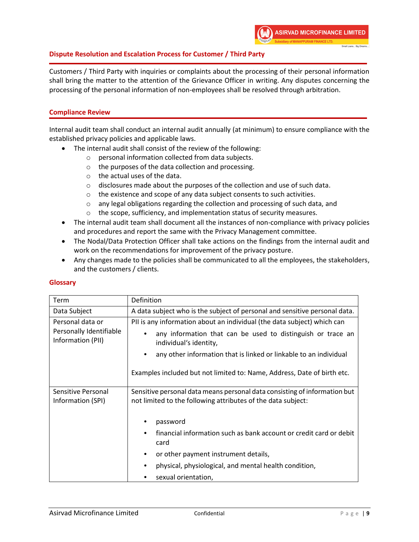

# **Dispute Resolution and Escalation Process for Customer / Third Party**

Customers / Third Party with inquiries or complaints about the processing of their personal information shall bring the matter to the attention of the Grievance Officer in writing. Any disputes concerning the processing of the personal information of non-employees shall be resolved through arbitration.

# **Compliance Review**

Internal audit team shall conduct an internal audit annually (at minimum) to ensure compliance with the established privacy policies and applicable laws.

- The internal audit shall consist of the review of the following:
	- o personal information collected from data subjects.
	- o the purposes of the data collection and processing.
	- o the actual uses of the data.
	- $\circ$  disclosures made about the purposes of the collection and use of such data.
	- o the existence and scope of any data subject consents to such activities.
	- o any legal obligations regarding the collection and processing of such data, and
	- o the scope, sufficiency, and implementation status of security measures.
- The internal audit team shall document all the instances of non-compliance with privacy policies and procedures and report the same with the Privacy Management committee.
- The Nodal/Data Protection Officer shall take actions on the findings from the internal audit and work on the recommendations for improvement of the privacy posture.
- Any changes made to the policies shall be communicated to all the employees, the stakeholders, and the customers / clients.

# **Glossary**

| Term                                                             | Definition                                                                                                                                                                                                                                                                                                       |  |
|------------------------------------------------------------------|------------------------------------------------------------------------------------------------------------------------------------------------------------------------------------------------------------------------------------------------------------------------------------------------------------------|--|
| Data Subject                                                     | A data subject who is the subject of personal and sensitive personal data.                                                                                                                                                                                                                                       |  |
| Personal data or<br>Personally Identifiable<br>Information (PII) | PII is any information about an individual (the data subject) which can<br>any information that can be used to distinguish or trace an<br>individual's identity,<br>any other information that is linked or linkable to an individual<br>Examples included but not limited to: Name, Address, Date of birth etc. |  |
| Sensitive Personal<br>Information (SPI)                          | Sensitive personal data means personal data consisting of information but<br>not limited to the following attributes of the data subject:<br>password                                                                                                                                                            |  |
|                                                                  | financial information such as bank account or credit card or debit<br>$\bullet$<br>card<br>or other payment instrument details,<br>$\bullet$<br>physical, physiological, and mental health condition,<br>٠<br>sexual orientation,                                                                                |  |